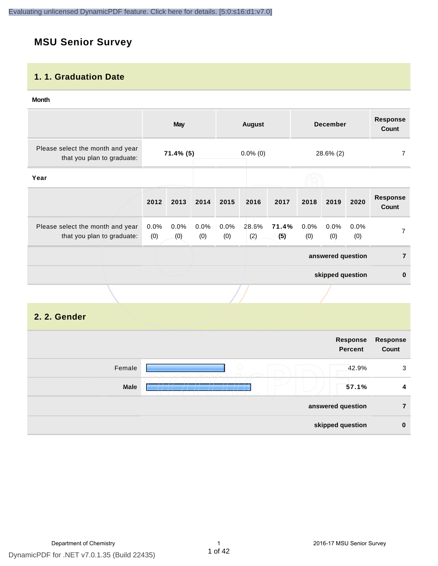# **MSU Senior Survey**

#### **1. 1. Graduation Date**

#### **Month**

|                                                                |             | <b>May</b>  |             |             | <b>August</b> |              |             | <b>December</b>   |             | <b>Response</b><br><b>Count</b> |
|----------------------------------------------------------------|-------------|-------------|-------------|-------------|---------------|--------------|-------------|-------------------|-------------|---------------------------------|
| Please select the month and year<br>that you plan to graduate: |             | 71.4% (5)   |             |             | $0.0\%$ (0)   |              | 28.6% (2)   |                   | 7           |                                 |
| Year                                                           |             |             |             |             |               |              |             |                   |             |                                 |
|                                                                | 2012        | 2013        | 2014        | 2015        | 2016          | 2017         | 2018        | 2019              | 2020        | <b>Response</b><br><b>Count</b> |
| Please select the month and year<br>that you plan to graduate: | 0.0%<br>(0) | 0.0%<br>(0) | 0.0%<br>(0) | 0.0%<br>(0) | 28.6%<br>(2)  | 71.4%<br>(5) | 0.0%<br>(0) | 0.0%<br>(0)       | 0.0%<br>(0) | 7                               |
|                                                                |             |             |             |             |               |              |             | answered question |             | $\overline{7}$                  |
|                                                                |             |             |             |             |               |              |             | skipped question  |             | $\bf{0}$                        |
|                                                                |             |             |             |             |               |              |             |                   |             |                                 |
| 2. 2. Gender                                                   |             |             |             |             |               |              |             |                   |             |                                 |

|        | Response<br><b>Percent</b>        | <b>Response</b><br>Count |
|--------|-----------------------------------|--------------------------|
| Female | $\bigcirc$<br>42.9%               | 3                        |
| Male   | $\overline{\phantom{a}}$<br>57.1% | 4                        |
|        | answered question                 | 7                        |
|        | skipped question                  | $\bf{0}$                 |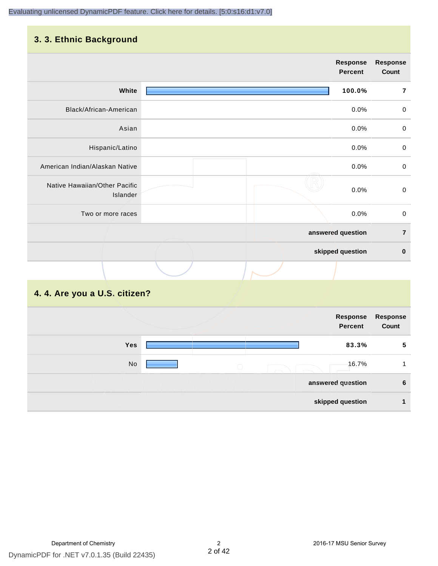# **3. 3. Ethnic Background**

|                                           | <b>Response</b><br><b>Percent</b> | <b>Response</b><br>Count |
|-------------------------------------------|-----------------------------------|--------------------------|
| White                                     | 100.0%                            | $\overline{7}$           |
| Black/African-American                    | 0.0%                              | $\pmb{0}$                |
| Asian                                     | 0.0%                              | $\pmb{0}$                |
| Hispanic/Latino                           | 0.0%                              | $\pmb{0}$                |
| American Indian/Alaskan Native            | 0.0%                              | $\mathbf 0$              |
| Native Hawaiian/Other Pacific<br>Islander | 0.0%                              | $\mathbf 0$              |
| Two or more races                         | 0.0%                              | $\mathbf 0$              |
|                                           | answered question                 | $\overline{7}$           |
|                                           | skipped question                  | $\pmb{0}$                |
|                                           |                                   |                          |

# **4. 4. Are you a U.S. citizen?**

|            |                   | Response<br><b>Percent</b> | Response<br>Count |
|------------|-------------------|----------------------------|-------------------|
| <b>Yes</b> |                   | 83.3%                      | 5                 |
| No         | $\bigcirc$        | 16.7%                      |                   |
|            | answered question |                            | 6                 |
|            | skipped question  |                            |                   |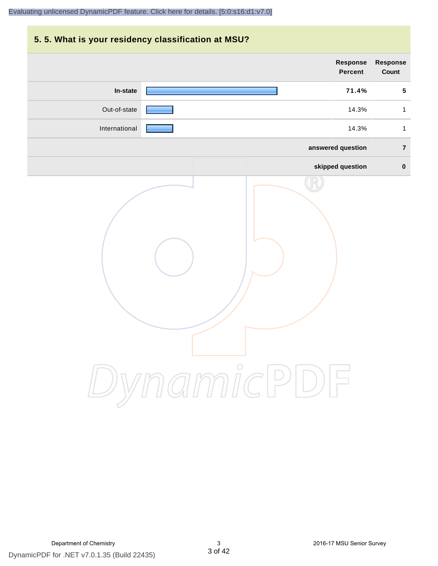# **5. 5. What is your residency classification at MSU? Response Response Percent Count In-state 71.4% 5** Out-of-state **14.3%** 1 International **Products and American Control** to the control of the 14.3% international to the 14.3% in the 14.3% **answered question 7 skipped question 0** DynamicPDF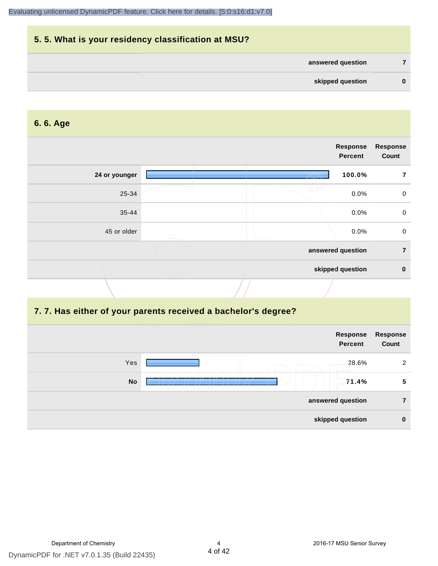| 5.5. What is your residency classification at MSU? |          |
|----------------------------------------------------|----------|
| answered question                                  |          |
| skipped question                                   | $\bf{0}$ |

#### **6. 6. Age**

|               | Response<br>Percent | <b>Response</b><br>Count |
|---------------|---------------------|--------------------------|
| 24 or younger | 100.0%              | 7                        |
| 25-34         | 0.0%                | $\mathbf 0$              |
| $35 - 44$     | 0.0%                | $\mathbf 0$              |
| 45 or older   | 0.0%                | $\mathbf 0$              |
|               | answered question   | $\overline{7}$           |
|               | skipped question    | $\bf{0}$                 |
|               |                     |                          |

#### **7. 7. Has either of your parents received a bachelor's degree?**

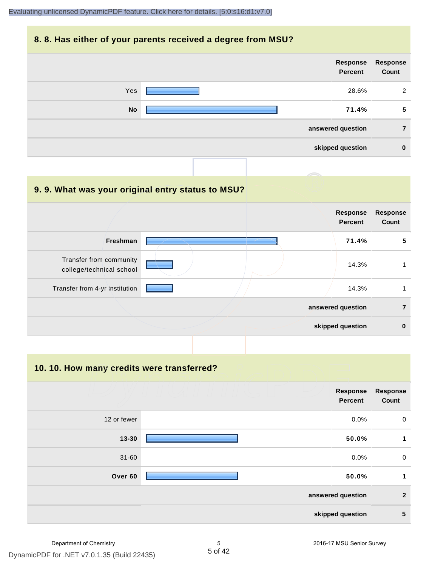#### **8. 8. Has either of your parents received a degree from MSU?**

| Response<br>Count | Response<br>Percent |           |
|-------------------|---------------------|-----------|
| 2                 | 28.6%               | Yes       |
| 5                 | 71.4%               | <b>No</b> |
| 7                 | answered question   |           |
| $\bf{0}$          | skipped question    |           |

| 9.9. What was your original entry status to MSU?    |  |                                   |                          |
|-----------------------------------------------------|--|-----------------------------------|--------------------------|
|                                                     |  | <b>Response</b><br><b>Percent</b> | <b>Response</b><br>Count |
| <b>Freshman</b>                                     |  | 71.4%                             | 5                        |
| Transfer from community<br>college/technical school |  | 14.3%                             |                          |
| Transfer from 4-yr institution                      |  | 14.3%                             |                          |
|                                                     |  | answered question                 | 7                        |
|                                                     |  | skipped question                  | 0                        |

**10. 10. How many credits were transferred?**

|             | Response<br><b>Percent</b> | Response<br>Count |
|-------------|----------------------------|-------------------|
| 12 or fewer | 0.0%                       | $\mathbf 0$       |
| $13 - 30$   | 50.0%                      | 1                 |
| $31 - 60$   | 0.0%                       | $\mathbf 0$       |
| Over 60     | 50.0%                      | 1                 |
|             | answered question          | $\mathbf{2}$      |
|             | skipped question           | 5                 |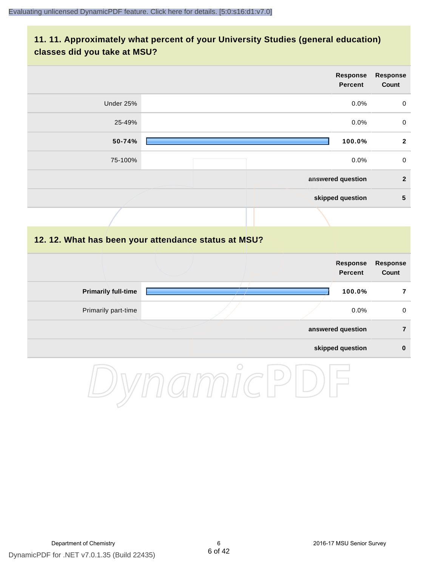## **11. 11. Approximately what percent of your University Studies (general education) classes did you take at MSU?**

|        | <b>Response</b><br>Count                                                                                                                                                                       |
|--------|------------------------------------------------------------------------------------------------------------------------------------------------------------------------------------------------|
|        | $\mathsf{O}\xspace$                                                                                                                                                                            |
|        | $\mathbf 0$                                                                                                                                                                                    |
|        | $\overline{2}$                                                                                                                                                                                 |
|        | $\mathbf 0$                                                                                                                                                                                    |
|        | $\overline{2}$                                                                                                                                                                                 |
|        | $5\phantom{1}$                                                                                                                                                                                 |
|        |                                                                                                                                                                                                |
|        |                                                                                                                                                                                                |
|        | <b>Response</b><br>Count                                                                                                                                                                       |
| 25-49% | Response<br><b>Percent</b><br>0.0%<br>0.0%<br>100.0%<br>$0.0\%$<br>answered question<br>skipped question<br>12. 12. What has been your attendance status at MSU?<br><b>Response</b><br>Percent |

| <b>Primarily full-time</b> | 100.0%            |   |
|----------------------------|-------------------|---|
| Primarily part-time        | $0.0\%$           | 0 |
|                            | answered question |   |
|                            | skipped question  | 0 |

DynamicPDF

 $\overline{a}$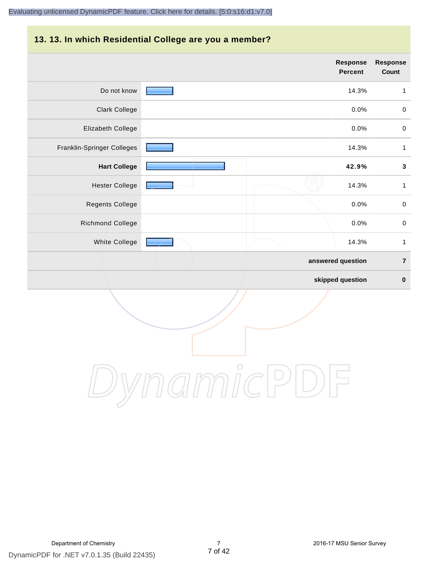#### **13. 13. In which Residential College are you a member?**

|                            | <b>Response</b><br><b>Percent</b> | <b>Response</b><br>Count |
|----------------------------|-----------------------------------|--------------------------|
| Do not know                | 14.3%                             | $\mathbf{1}$             |
| <b>Clark College</b>       | 0.0%                              | $\,0\,$                  |
| Elizabeth College          | 0.0%                              | $\pmb{0}$                |
| Franklin-Springer Colleges | 14.3%                             | $\mathbf{1}$             |
| <b>Hart College</b>        | 42.9%                             | $\mathbf 3$              |
| <b>Hester College</b>      | 14.3%                             | $\mathbf{1}$             |
| Regents College            | 0.0%                              | $\pmb{0}$                |
| Richmond College           | 0.0%                              | $\pmb{0}$                |
| White College              | 14.3%                             | $\mathbf{1}$             |
|                            | answered question                 | $\overline{7}$           |
|                            | skipped question                  | $\pmb{0}$                |

DynamicPDF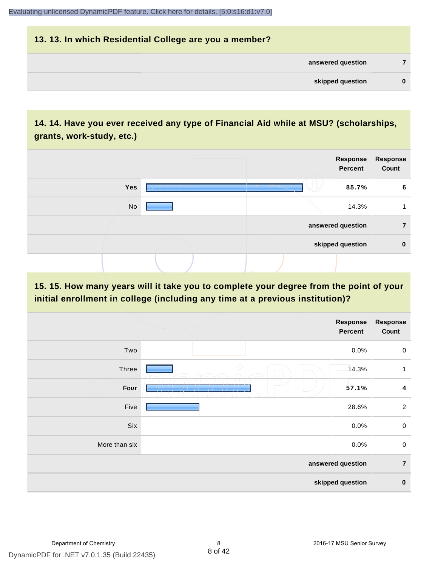| 13. 13. In which Residential College are you a member? |          |
|--------------------------------------------------------|----------|
| answered question                                      |          |
| skipped question                                       | $\bf{0}$ |

# **14. 14. Have you ever received any type of Financial Aid while at MSU? (scholarships, grants, work-study, etc.)**



#### **15. 15. How many years will it take you to complete your degree from the point of your initial enrollment in college (including any time at a previous institution)?**

|               | Response<br>Percent | <b>Response</b><br>Count |
|---------------|---------------------|--------------------------|
| Two           | 0.0%                | $\mathbf 0$              |
| Three         | $\bigcirc$<br>14.3% | 1                        |
| Four          | 57.1%               | $\boldsymbol{4}$         |
| Five          | 28.6%               | $\overline{2}$           |
| Six           | 0.0%                | $\pmb{0}$                |
| More than six | 0.0%                | $\mathbf 0$              |
|               | answered question   | $\overline{7}$           |
|               | skipped question    | $\pmb{0}$                |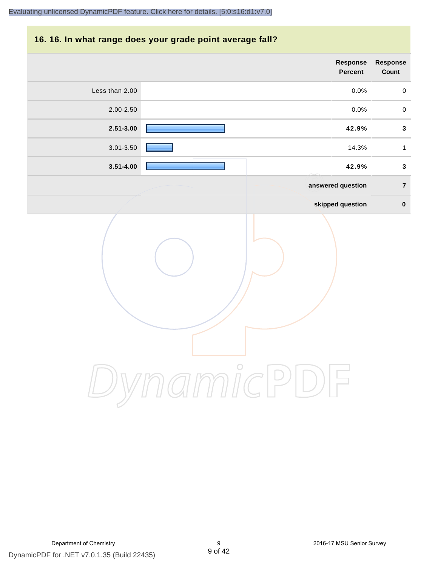#### **16. 16. In what range does your grade point average fall?**

| <b>Response</b><br>Count | Response<br>Percent |                |
|--------------------------|---------------------|----------------|
| $\pmb{0}$                | $0.0\%$             | Less than 2.00 |
| $\pmb{0}$                | 0.0%                | $2.00 - 2.50$  |
| $\mathbf{3}$             | 42.9%               | $2.51 - 3.00$  |
| $\mathbf 1$              | 14.3%               | 3.01-3.50      |
| $\mathbf{3}$             | 42.9%               | $3.51 - 4.00$  |
| $\overline{\mathbf{7}}$  | answered question   |                |
| $\pmb{0}$                | skipped question    |                |
|                          |                     |                |

DynamicPDF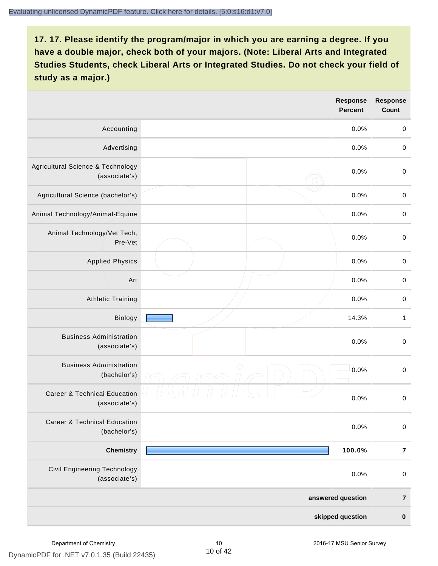|                                                          | <b>Response</b><br><b>Percent</b> | <b>Response</b><br>Count |
|----------------------------------------------------------|-----------------------------------|--------------------------|
| Accounting                                               | 0.0%                              | $\mathbf 0$              |
| Advertising                                              | 0.0%                              | $\,0\,$                  |
| Agricultural Science & Technology<br>(associate's)       | 0.0%                              | $\,0\,$                  |
| Agricultural Science (bachelor's)                        | 0.0%                              | $\mathbf 0$              |
| Animal Technology/Animal-Equine                          | 0.0%                              | $\mathbf 0$              |
| Animal Technology/Vet Tech,<br>Pre-Vet                   | 0.0%                              | $\mathbf 0$              |
| <b>Applied Physics</b>                                   | 0.0%                              | $\mathbf 0$              |
| Art                                                      | 0.0%                              | $\mathbf 0$              |
| <b>Athletic Training</b>                                 | 0.0%                              | $\mathbf 0$              |
| Biology                                                  | 14.3%                             | $\mathbf{1}$             |
| <b>Business Administration</b><br>(associate's)          | 0.0%                              | $\,0\,$                  |
| <b>Business Administration</b><br>(bachelor's)           | $\bigcirc$<br>0.0%                | $\mathbf 0$              |
| <b>Career &amp; Technical Education</b><br>(associate's) | 0.0%                              | $\mathsf{O}\xspace$      |
| <b>Career &amp; Technical Education</b><br>(bachelor's)  | 0.0%                              | $\mathbf 0$              |
| <b>Chemistry</b>                                         | 100.0%                            | $\bf 7$                  |
| <b>Civil Engineering Technology</b><br>(associate's)     | 0.0%                              | $\mathbf 0$              |
|                                                          | answered question                 | $\bf 7$                  |
|                                                          | skipped question                  | $\mathbf 0$              |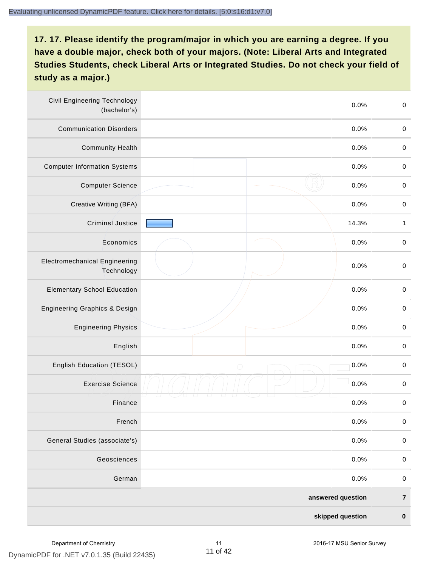| <b>Civil Engineering Technology</b><br>(bachelor's) | 0.0%               | $\mathbf 0$  |
|-----------------------------------------------------|--------------------|--------------|
| <b>Communication Disorders</b>                      | 0.0%               | $\mathbf 0$  |
| <b>Community Health</b>                             | 0.0%               | $\mathbf 0$  |
| <b>Computer Information Systems</b>                 | 0.0%               | $\pmb{0}$    |
| <b>Computer Science</b>                             | 0.0%               | $\mathbf 0$  |
| Creative Writing (BFA)                              | 0.0%               | $\mathbf 0$  |
| <b>Criminal Justice</b>                             | 14.3%              | $\mathbf{1}$ |
| Economics                                           | 0.0%               | $\mathbf 0$  |
| <b>Electromechanical Engineering</b><br>Technology  | 0.0%               | $\mathbf 0$  |
| <b>Elementary School Education</b>                  | 0.0%               | $\mathbf 0$  |
| Engineering Graphics & Design                       | 0.0%               | $\mathbf 0$  |
| <b>Engineering Physics</b>                          | 0.0%               | $\mathbf 0$  |
| English                                             | 0.0%               | $\pmb{0}$    |
| English Education (TESOL)                           | 0.0%<br>$\bigcirc$ | $\pmb{0}$    |
| <b>Exercise Science</b>                             | 0.0%               | $\pmb{0}$    |
| Finance                                             | 0.0%               | $\pmb{0}$    |
| French                                              | 0.0%               | $\mathbf 0$  |
| General Studies (associate's)                       | 0.0%               | $\mathbf 0$  |
| Geosciences                                         | 0.0%               | $\mathbf 0$  |
| German                                              | 0.0%               | $\mathbf 0$  |
|                                                     | answered question  | $\bf 7$      |
|                                                     | skipped question   | $\pmb{0}$    |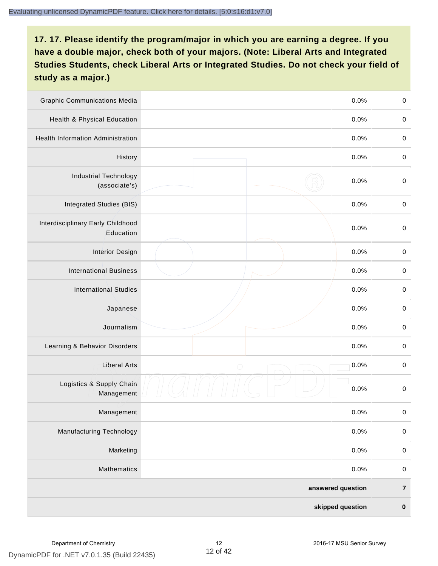| <b>Graphic Communications Media</b>            | 0.0%               | $\mathbf 0$ |
|------------------------------------------------|--------------------|-------------|
| Health & Physical Education                    | 0.0%               | $\mathbf 0$ |
| <b>Health Information Administration</b>       | 0.0%               | $\mathbf 0$ |
| History                                        | 0.0%               | $\pmb{0}$   |
| <b>Industrial Technology</b><br>(associate's)  | 0.0%               | $\mathbf 0$ |
| Integrated Studies (BIS)                       | 0.0%               | $\mathbf 0$ |
| Interdisciplinary Early Childhood<br>Education | 0.0%               | $\mathbf 0$ |
| <b>Interior Design</b>                         | 0.0%               | $\pmb{0}$   |
| <b>International Business</b>                  | 0.0%               | $\pmb{0}$   |
| <b>International Studies</b>                   | 0.0%               | $\mathbf 0$ |
| Japanese                                       | 0.0%               | $\pmb{0}$   |
| Journalism                                     | 0.0%               | $\pmb{0}$   |
| Learning & Behavior Disorders                  | 0.0%               | $\pmb{0}$   |
| <b>Liberal Arts</b>                            | 0.0%<br>$\bigcirc$ | $\pmb{0}$   |
| Logistics & Supply Chain<br>Management         | 0.0%               | $\mathbf 0$ |
| Management                                     | 0.0%               | $\pmb{0}$   |
| <b>Manufacturing Technology</b>                | 0.0%               | $\mathbf 0$ |
| Marketing                                      | 0.0%               | $\mathbf 0$ |
| Mathematics                                    | 0.0%               | $\mathbf 0$ |
|                                                | answered question  | $\bf 7$     |
|                                                | skipped question   | $\pmb{0}$   |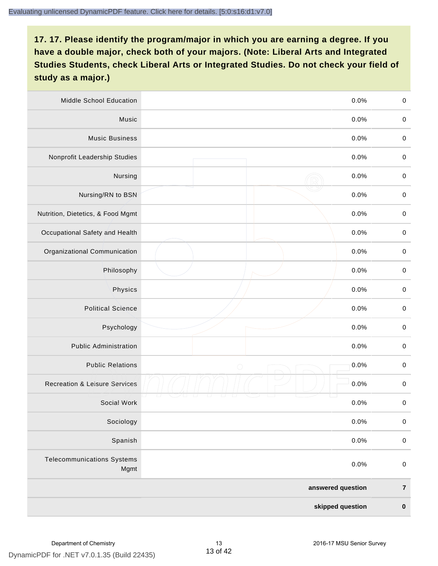| Middle School Education                   | 0.0%               | $\,0\,$     |
|-------------------------------------------|--------------------|-------------|
| Music                                     | 0.0%               | $\mathbf 0$ |
| <b>Music Business</b>                     | 0.0%               | $\mathbf 0$ |
| Nonprofit Leadership Studies              | 0.0%               | $\pmb{0}$   |
| Nursing                                   | 0.0%               | $\pmb{0}$   |
| Nursing/RN to BSN                         | 0.0%               | $\,0\,$     |
| Nutrition, Dietetics, & Food Mgmt         | 0.0%               | $\pmb{0}$   |
| Occupational Safety and Health            | 0.0%               | $\mathbf 0$ |
| Organizational Communication              | 0.0%               | $\pmb{0}$   |
| Philosophy                                | 0.0%               | $\pmb{0}$   |
| Physics                                   | 0.0%               | $\,0\,$     |
| <b>Political Science</b>                  | 0.0%               | $\mathbf 0$ |
| Psychology                                | 0.0%               | $\pmb{0}$   |
| <b>Public Administration</b>              | 0.0%               | $\pmb{0}$   |
| <b>Public Relations</b>                   | 0.0%<br>$\bigcirc$ | $\pmb{0}$   |
| <b>Recreation &amp; Leisure Services</b>  | 0.0%               | $\pmb{0}$   |
| Social Work                               | 0.0%               | $\pmb{0}$   |
| Sociology                                 | 0.0%               | $\mathbf 0$ |
| Spanish                                   | 0.0%               | $\pmb{0}$   |
| <b>Telecommunications Systems</b><br>Mgmt | 0.0%               | $\mathbf 0$ |
|                                           | answered question  | $\bf 7$     |
|                                           | skipped question   | $\pmb{0}$   |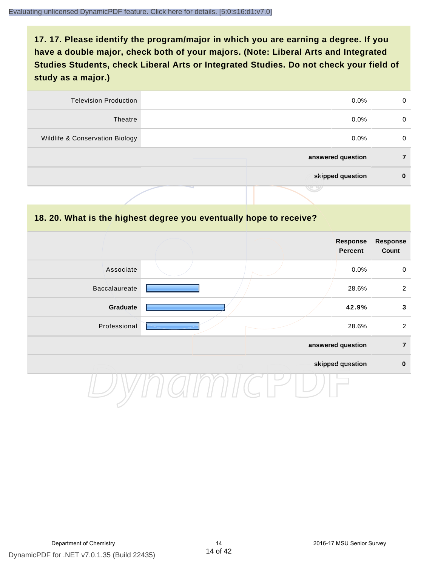| <b>Television Production</b>    | $0.0\%$           | 0 |
|---------------------------------|-------------------|---|
| Theatre                         | $0.0\%$           | 0 |
| Wildlife & Conservation Biology | $0.0\%$           | 0 |
|                                 | answered question |   |
|                                 | skipped question  | 0 |
|                                 | .                 |   |

#### **18. 20. What is the highest degree you eventually hope to receive?**

|               |  | <b>Response</b><br><b>Percent</b> | <b>Response</b><br>Count |
|---------------|--|-----------------------------------|--------------------------|
| Associate     |  | 0.0%                              | $\mathbf 0$              |
| Baccalaureate |  | 28.6%                             | $\overline{2}$           |
| Graduate      |  | 42.9%                             | $\mathbf{3}$             |
| Professional  |  | 28.6%                             | $\overline{2}$           |
|               |  | answered question                 | $\overline{7}$           |
|               |  | skipped question                  | $\pmb{0}$                |
|               |  |                                   |                          |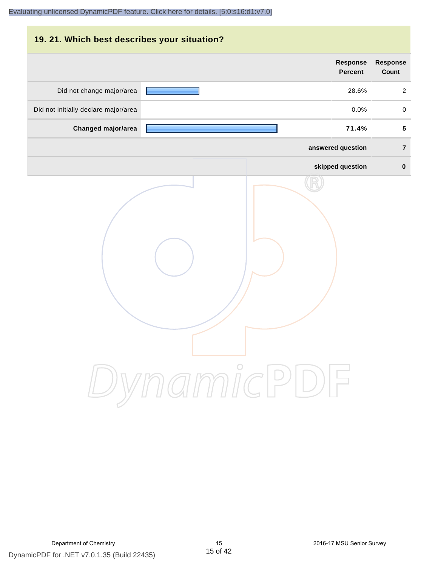# **19. 21. Which best describes your situation? Response Response Percent Count** Did not change major/area **28.6%** 28.6% 28.6% Did not initially declare major/area  $0.0\%$  0.0% 0.0% **Changed major/area 71.4% 5 answered question 7 skipped question 0** DynamicPDF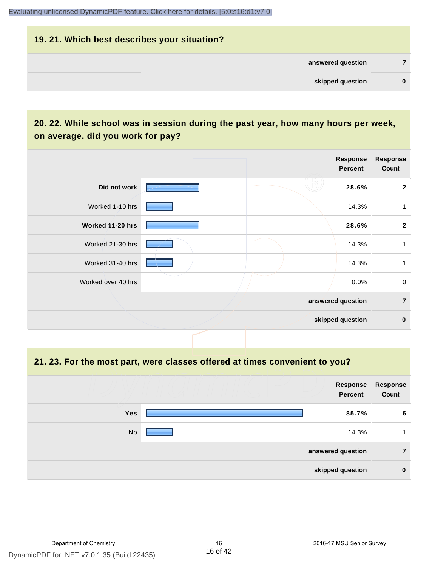# **19. 21. Which best describes your situation? answered question 7 skipped question 0**

# **20. 22. While school was in session during the past year, how many hours per week, on average, did you work for pay?**

|                    |  | Response<br><b>Percent</b> | <b>Response</b><br>Count |
|--------------------|--|----------------------------|--------------------------|
| Did not work       |  | 28.6%                      | $\mathbf{2}$             |
| Worked 1-10 hrs    |  | 14.3%                      | 1                        |
| Worked 11-20 hrs   |  | 28.6%                      | $\mathbf{2}$             |
| Worked 21-30 hrs   |  | 14.3%                      | 1                        |
| Worked 31-40 hrs   |  | 14.3%                      | 1                        |
| Worked over 40 hrs |  | 0.0%                       | $\mathbf 0$              |
|                    |  | answered question          | $\overline{7}$           |
|                    |  | skipped question           | $\mathbf 0$              |

**21. 23. For the most part, were classes offered at times convenient to you?**

|            | Response<br>Percent | <b>Response</b><br>Count |
|------------|---------------------|--------------------------|
|            |                     |                          |
| <b>Yes</b> | 85.7%               | 6                        |
| No         | 14.3%               | 1                        |
|            | answered question   | 7                        |
|            | skipped question    | $\bf{0}$                 |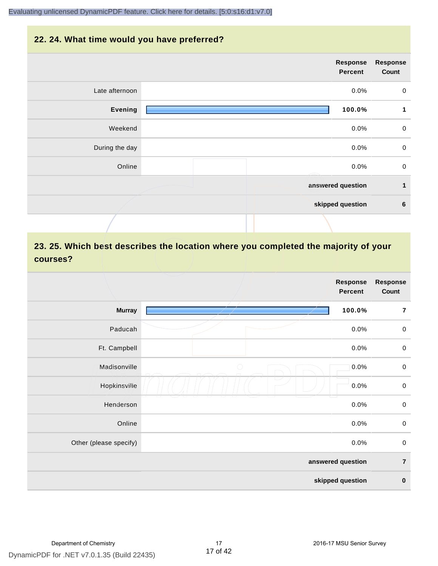#### **22. 24. What time would you have preferred?**



# **23. 25. Which best describes the location where you completed the majority of your courses?**

|                        |            | <b>Response</b><br><b>Percent</b> | <b>Response</b><br>Count |
|------------------------|------------|-----------------------------------|--------------------------|
| <b>Murray</b>          |            | 100.0%                            | $\overline{7}$           |
| Paducah                |            | 0.0%                              | $\,0\,$                  |
| Ft. Campbell           |            | 0.0%                              | $\mathbf 0$              |
| Madisonville           | $\bigcirc$ | 0.0%                              | $\mathbf 0$              |
| Hopkinsville           |            | 0.0%                              | $\pmb{0}$                |
| Henderson              |            | 0.0%                              | $\pmb{0}$                |
| Online                 |            | 0.0%                              | $\,0\,$                  |
| Other (please specify) |            | 0.0%                              | $\mathbf 0$              |
|                        |            | answered question                 | $\overline{7}$           |
|                        |            | skipped question                  | $\pmb{0}$                |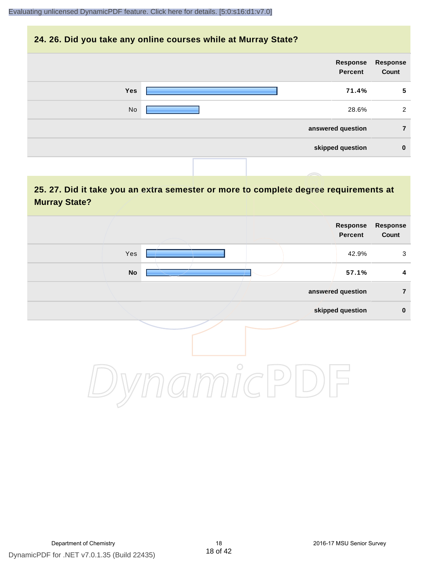#### **24. 26. Did you take any online courses while at Murray State?**

| Response<br>Count | Response<br>Percent |            |
|-------------------|---------------------|------------|
| 5                 | 71.4%               | <b>Yes</b> |
| 2                 | 28.6%               | No         |
| 7                 | answered question   |            |
| $\bf{0}$          | skipped question    |            |
|                   |                     |            |

# **25. 27. Did it take you an extra semester or more to complete degree requirements at Murray State?**

| <b>Response</b><br>Count | Response<br>Percent |            |               |  |
|--------------------------|---------------------|------------|---------------|--|
| $\mathbf{3}$             | 42.9%               |            | Yes           |  |
| $\overline{\mathbf{4}}$  | 57.1%               |            | $\mathsf{No}$ |  |
| $\overline{7}$           | answered question   |            |               |  |
| $\pmb{0}$                | skipped question    |            |               |  |
|                          |                     | $\bigcirc$ |               |  |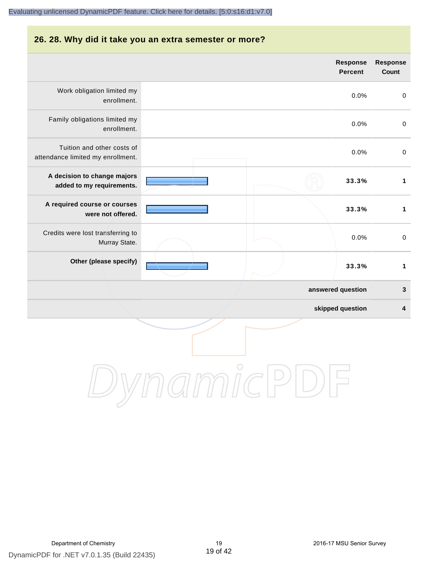#### **26. 28. Why did it take you an extra semester or more?**

|                                                                 |            | Response<br><b>Percent</b> | Response<br>Count |
|-----------------------------------------------------------------|------------|----------------------------|-------------------|
| Work obligation limited my<br>enrollment.                       |            | 0.0%                       | $\mathbf 0$       |
| Family obligations limited my<br>enrollment.                    |            | 0.0%                       | $\mathbf 0$       |
| Tuition and other costs of<br>attendance limited my enrollment. |            | 0.0%                       | $\mathbf 0$       |
| A decision to change majors<br>added to my requirements.        |            | 33.3%                      | $\mathbf{1}$      |
| A required course or courses<br>were not offered.               |            | 33.3%                      | $\mathbf{1}$      |
| Credits were lost transferring to<br>Murray State.              |            | 0.0%                       | $\mathbf 0$       |
| Other (please specify)                                          |            | 33.3%                      | $\mathbf{1}$      |
|                                                                 |            | answered question          | $\mathbf 3$       |
|                                                                 |            | skipped question           | 4                 |
|                                                                 | $\bigcirc$ |                            |                   |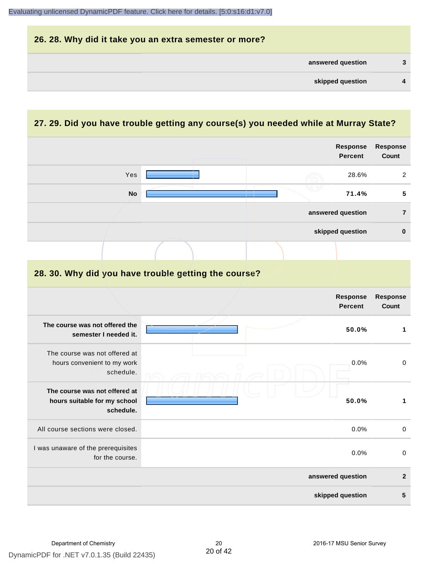

#### **27. 29. Did you have trouble getting any course(s) you needed while at Murray State?**

|                                                                            |  | Response<br><b>Percent</b>        | <b>Response</b><br>Count |
|----------------------------------------------------------------------------|--|-----------------------------------|--------------------------|
| Yes                                                                        |  | 28.6%                             | $\sqrt{2}$               |
| <b>No</b>                                                                  |  | 71.4%                             | 5                        |
|                                                                            |  | answered question                 | $\overline{7}$           |
|                                                                            |  | skipped question                  | $\pmb{0}$                |
|                                                                            |  |                                   |                          |
| 28. 30. Why did you have trouble getting the course?                       |  |                                   |                          |
|                                                                            |  | <b>Response</b><br><b>Percent</b> | <b>Response</b><br>Count |
| The course was not offered the<br>semester I needed it.                    |  | 50.0%                             | $\mathbf{1}$             |
| The course was not offered at<br>hours convenient to my work<br>schedule.  |  | 0.0%                              | $\mathbf 0$              |
| The course was not offered at<br>hours suitable for my school<br>schedule. |  | 50.0%                             | $\mathbf{1}$             |
| All course sections were closed.                                           |  | 0.0%                              | $\mathbf 0$              |
| I was unaware of the prerequisites<br>for the course.                      |  | 0.0%                              | $\mathbf 0$              |
|                                                                            |  | answered question                 | $\overline{2}$           |
|                                                                            |  | skipped question                  | 5                        |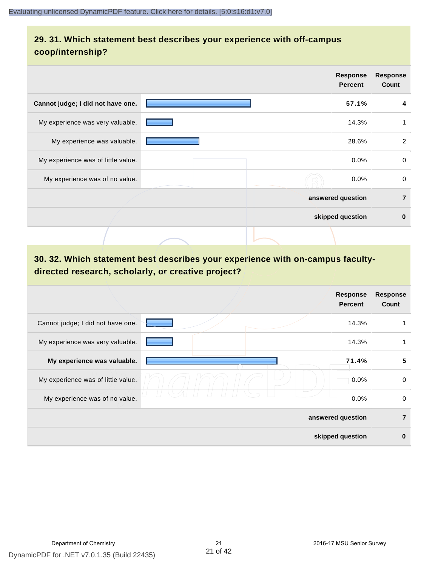# **29. 31. Which statement best describes your experience with off-campus coop/internship?**

|                                    | <b>Response</b><br><b>Percent</b> | <b>Response</b><br>Count |
|------------------------------------|-----------------------------------|--------------------------|
| Cannot judge; I did not have one.  | 57.1%                             | 4                        |
| My experience was very valuable.   | 14.3%                             |                          |
| My experience was valuable.        | 28.6%                             | 2                        |
| My experience was of little value. | 0.0%                              | $\Omega$                 |
| My experience was of no value.     | 0.0%                              | 0                        |
|                                    | answered question                 | $\overline{7}$           |
|                                    | skipped question                  | $\bf{0}$                 |
|                                    |                                   |                          |

# **30. 32. Which statement best describes your experience with on-campus facultydirected research, scholarly, or creative project?**

|                                    | <b>Response</b><br><b>Percent</b> |       | <b>Response</b><br>Count |
|------------------------------------|-----------------------------------|-------|--------------------------|
| Cannot judge; I did not have one.  |                                   | 14.3% |                          |
| My experience was very valuable.   |                                   | 14.3% |                          |
| My experience was valuable.        | 71.4%                             |       | 5                        |
| My experience was of little value. |                                   | 0.0%  | 0                        |
| My experience was of no value.     |                                   | 0.0%  | 0                        |
|                                    | answered question                 |       | $\overline{7}$           |
|                                    | skipped question                  |       | $\bf{0}$                 |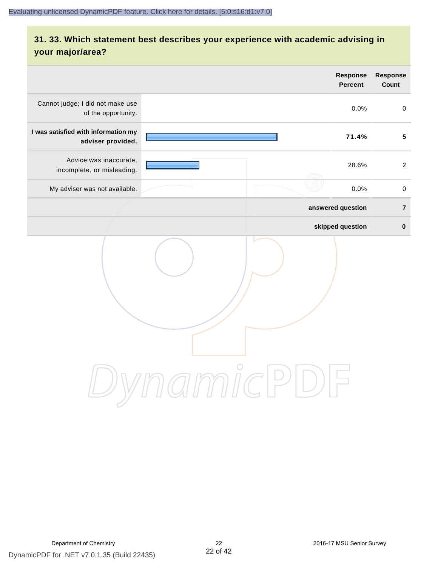# **31. 33. Which statement best describes your experience with academic advising in your major/area?**

|                                                          | Response<br>Percent                                    | Response<br>Count   |
|----------------------------------------------------------|--------------------------------------------------------|---------------------|
| Cannot judge; I did not make use<br>of the opportunity.  | 0.0%                                                   | $\mathsf{O}\xspace$ |
| I was satisfied with information my<br>adviser provided. | 71.4%                                                  | $5\phantom{.0}$     |
| Advice was inaccurate,<br>incomplete, or misleading.     | 28.6%                                                  | $\overline{2}$      |
| My adviser was not available.                            | 0.0%                                                   | $\mathsf 0$         |
|                                                          | answered question                                      | $\overline{7}$      |
|                                                          | skipped question                                       | $\pmb{0}$           |
|                                                          | ammicPl<br>$\left(\begin{array}{c} \end{array}\right)$ |                     |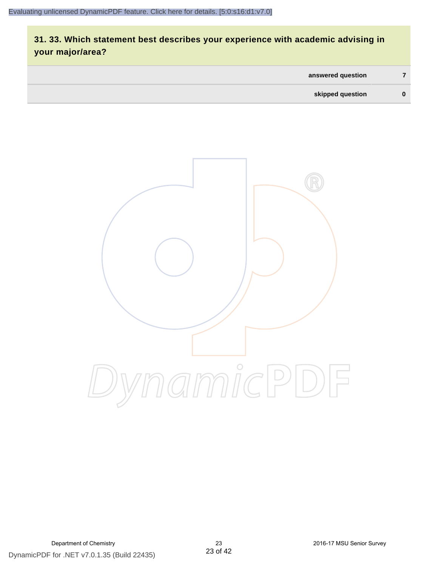# **31. 33. Which statement best describes your experience with academic advising in your major/area?**

| answered question |          |
|-------------------|----------|
| skipped question  | $\bf{0}$ |

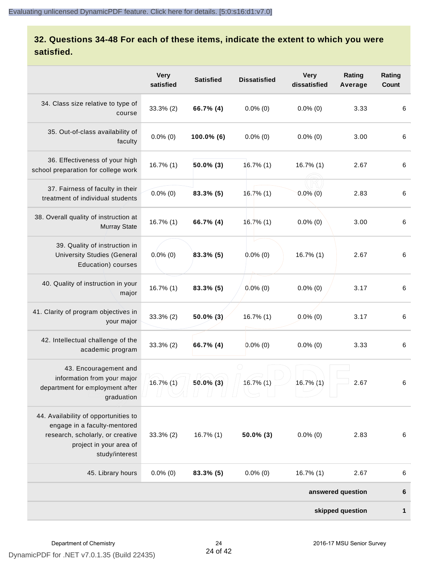# **32. Questions 34-48 For each of these items, indicate the extent to which you were satisfied.**

|                                                                                                                                                       | <b>Very</b><br>satisfied | <b>Satisfied</b> | <b>Dissatisfied</b> | <b>Very</b><br>dissatisfied | Rating<br>Average | Rating<br>Count |
|-------------------------------------------------------------------------------------------------------------------------------------------------------|--------------------------|------------------|---------------------|-----------------------------|-------------------|-----------------|
| 34. Class size relative to type of<br>course                                                                                                          | $33.3%$ (2)              | 66.7% (4)        | $0.0\%$ (0)         | $0.0\%$ (0)                 | 3.33              | 6               |
| 35. Out-of-class availability of<br>faculty                                                                                                           | $0.0\%$ (0)              | 100.0% (6)       | $0.0\%$ (0)         | $0.0\%$ (0)                 | 3.00              | $\,6\,$         |
| 36. Effectiveness of your high<br>school preparation for college work                                                                                 | 16.7% (1)                | 50.0% (3)        | $16.7\%$ (1)        | $16.7\%$ (1)                | 2.67              | 6               |
| 37. Fairness of faculty in their<br>treatment of individual students                                                                                  | $0.0\%$ (0)              | $83.3\%$ (5)     | 16.7%(1)            | $0.0\%$ (0)                 | 2.83              | $\,6\,$         |
| 38. Overall quality of instruction at<br><b>Murray State</b>                                                                                          | 16.7% (1)                | 66.7% (4)        | 16.7%(1)            | $0.0\%$ (0)                 | 3.00              | 6               |
| 39. Quality of instruction in<br><b>University Studies (General</b><br>Education) courses                                                             | $0.0\%$ (0)              | 83.3% (5)        | $0.0\%$ (0)         | $16.7\%$ (1)                | 2.67              | $\,6\,$         |
| 40. Quality of instruction in your<br>major                                                                                                           | 16.7% (1)                | 83.3% (5)        | $0.0\%$ (0)         | $0.0\%$ (0)                 | 3.17              | 6               |
| 41. Clarity of program objectives in<br>your major                                                                                                    | $33.3%$ (2)              | $50.0\%$ (3)     | 16.7% (1)           | $0.0\%$ (0)                 | 3.17              | 6               |
| 42. Intellectual challenge of the<br>academic program                                                                                                 | 33.3% (2)                | 66.7% (4)        | $0.0\%$ (0)         | $0.0\%$ (0)                 | 3.33              | $\,6\,$         |
| 43. Encouragement and<br>information from your major<br>department for employment after<br>graduation                                                 | $16.7\%$ $(1)$           | $50.0\%$ (3)     | 16.7% (1)           | 16.7% (1)                   | 2.67              | 6               |
| 44. Availability of opportunities to<br>engage in a faculty-mentored<br>research, scholarly, or creative<br>project in your area of<br>study/interest | $33.3\%$ (2)             | $16.7\%$ (1)     | $50.0\%$ (3)        | $0.0\%$ (0)                 | 2.83              | $\,6\,$         |
| 45. Library hours                                                                                                                                     | $0.0\%$ (0)              | $83.3\%$ (5)     | $0.0\%$ (0)         | $16.7\%$ (1)                | 2.67              | 6               |
|                                                                                                                                                       |                          |                  |                     |                             | answered question | $6\phantom{1}6$ |
|                                                                                                                                                       |                          |                  |                     |                             | skipped question  | $\mathbf{1}$    |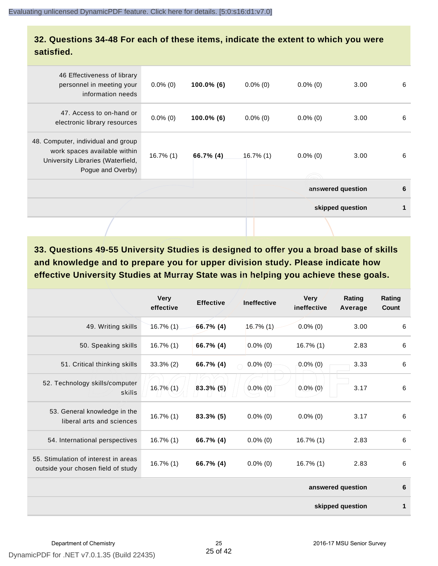#### **32. Questions 34-48 For each of these items, indicate the extent to which you were satisfied.**

|                                                                                                                              |              |               |              |             | skipped question  |   |
|------------------------------------------------------------------------------------------------------------------------------|--------------|---------------|--------------|-------------|-------------------|---|
|                                                                                                                              |              |               |              |             | answered question | 6 |
| 48. Computer, individual and group<br>work spaces available within<br>University Libraries (Waterfield,<br>Pogue and Overby) | $16.7\%$ (1) | 66.7% (4)     | $16.7\%$ (1) | $0.0\%$ (0) | 3.00              | 6 |
| 47. Access to on-hand or<br>electronic library resources                                                                     | $0.0\%$ (0)  | $100.0\%$ (6) | $0.0\%$ (0)  | $0.0\%$ (0) | 3.00              | 6 |
| 46 Effectiveness of library<br>personnel in meeting your<br>information needs                                                | $0.0\%$ (0)  | 100.0% (6)    | $0.0\%$ (0)  | $0.0\%$ (0) | 3.00              | 6 |

**33. Questions 49-55 University Studies is designed to offer you a broad base of skills and knowledge and to prepare you for upper division study. Please indicate how effective University Studies at Murray State was in helping you achieve these goals.**

|                                                                            | <b>Very</b><br>effective | <b>Effective</b> | <b>Ineffective</b> | <b>Very</b><br>ineffective | Rating<br>Average | Rating<br>Count |
|----------------------------------------------------------------------------|--------------------------|------------------|--------------------|----------------------------|-------------------|-----------------|
| 49. Writing skills                                                         | $16.7\%$ (1)             | $66.7\%$ (4)     | 16.7% (1)          | $0.0\%$ (0)                | 3.00              | 6               |
| 50. Speaking skills                                                        | $16.7\%$ (1)             | 66.7% (4)        | $0.0\%$ (0)        | $16.7\%$ (1)               | 2.83              | 6               |
| 51. Critical thinking skills                                               | $33.3\%$ (2)             | 66.7% (4)        | $0.0\%$ (0)        | $0.0\%$ (0)                | 3.33              | 6               |
| 52. Technology skills/computer<br>skills                                   | 16.7% (1)                | $83.3\%$ (5)     | $0.0\%$ (0)        | $0.0\%$ (0)                | 3.17              | 6               |
| 53. General knowledge in the<br>liberal arts and sciences                  | $16.7\%$ (1)             | $83.3\%$ (5)     | $0.0\%$ (0)        | $0.0\%$ (0)                | 3.17              | 6               |
| 54. International perspectives                                             | $16.7\%$ (1)             | 66.7% (4)        | $0.0\%$ (0)        | $16.7\%$ (1)               | 2.83              | 6               |
| 55. Stimulation of interest in areas<br>outside your chosen field of study | $16.7\%$ (1)             | 66.7% (4)        | $0.0\%$ (0)        | $16.7\%$ (1)               | 2.83              | 6               |
|                                                                            |                          |                  |                    |                            | answered question | 6               |
|                                                                            |                          |                  |                    |                            | skipped question  | 1               |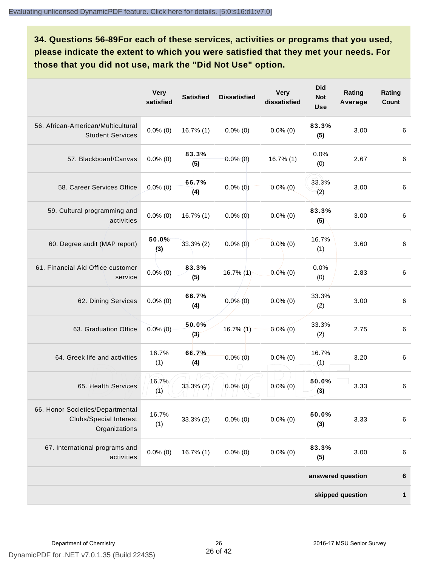**34. Questions 56-89For each of these services, activities or programs that you used, please indicate the extent to which you were satisfied that they met your needs. For those that you did not use, mark the "Did Not Use" option.**

|                                                                                    | <b>Very</b><br>satisfied | <b>Satisfied</b> | <b>Dissatisfied</b> | <b>Very</b><br>dissatisfied | <b>Did</b><br><b>Not</b><br><b>Use</b> | Rating<br>Average | Rating<br>Count |
|------------------------------------------------------------------------------------|--------------------------|------------------|---------------------|-----------------------------|----------------------------------------|-------------------|-----------------|
| 56. African-American/Multicultural<br><b>Student Services</b>                      | $0.0\%$ (0)              | $16.7\%$ (1)     | $0.0\%$ (0)         | $0.0\%$ (0)                 | 83.3%<br>(5)                           | 3.00              | 6               |
| 57. Blackboard/Canvas                                                              | $0.0\%$ (0)              | 83.3%<br>(5)     | $0.0\%$ (0)         | $16.7\%$ (1)                | 0.0%<br>(0)                            | 2.67              | 6               |
| 58. Career Services Office                                                         | $0.0\%$ (0)              | 66.7%<br>(4)     | $0.0\%$ (0)         | $0.0\%$ (0)                 | 33.3%<br>(2)                           | 3.00              | 6               |
| 59. Cultural programming and<br>activities                                         | $0.0\%$ (0)              | $16.7\%$ (1)     | $0.0\%$ (0)         | $0.0\%$ (0)                 | 83.3%<br>(5)                           | 3.00              | $\,6\,$         |
| 60. Degree audit (MAP report)                                                      | 50.0%<br>(3)             | $33,3%$ (2)      | $0.0\%$ (0)         | $0.0\%$ (0)                 | 16.7%<br>(1)                           | 3.60              | 6               |
| 61. Financial Aid Office customer<br>service                                       | $0.0\%(0)$               | 83.3%<br>(5)     | $16.7\%$ (1)        | $0.0\%$ (0)                 | 0.0%<br>(0)                            | 2.83              | 6               |
| 62. Dining Services                                                                | $0.0\%$ (0)              | 66.7%<br>(4)     | $0.0\%$ (0)         | $0.0\%$ (0)                 | 33.3%<br>(2)                           | 3.00              | 6               |
| 63. Graduation Office                                                              | $0.0\%$ (0)              | 50.0%<br>(3)     | 16.7% (1)           | $0.0\%$ (0)                 | 33.3%<br>(2)                           | 2.75              | 6               |
| 64. Greek life and activities                                                      | 16.7%<br>(1)             | 66.7%<br>(4)     | $0.0\%$ (0)         | $0.0\%$ (0)                 | 16.7%<br>(1)                           | 3.20              | 6               |
| 65. Health Services                                                                | 16.7%<br>(1)             | $33.3\%$ (2)     | $0.0\%$ (0)         | $0.0\%$ (0)                 | 50.0%<br>(3)                           | 3.33              | $\,6\,$         |
| 66. Honor Societies/Departmental<br><b>Clubs/Special Interest</b><br>Organizations | 16.7%<br>(1)             | $33.3\%$ (2)     | $0.0\%$ (0)         | $0.0\%$ (0)                 | 50.0%<br>(3)                           | 3.33              | 6               |
| 67. International programs and<br>activities                                       | $0.0\%$ (0)              | $16.7\%$ (1)     | $0.0\%$ (0)         | $0.0\%$ (0)                 | 83.3%<br>(5)                           | 3.00              | 6               |
|                                                                                    |                          |                  |                     |                             |                                        | answered question | 6               |
|                                                                                    |                          |                  |                     |                             |                                        | skipped question  | $\mathbf{1}$    |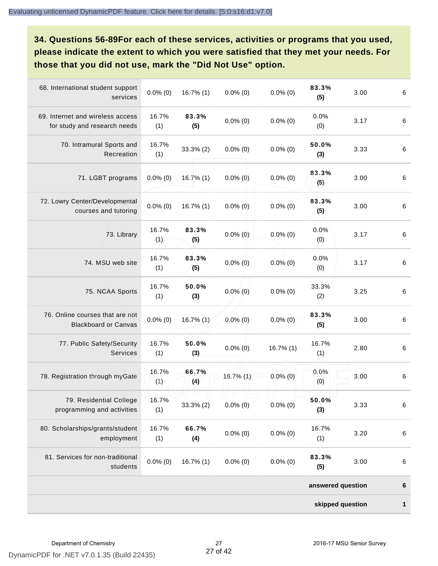**34. Questions 56-89For each of these services, activities or programs that you used, please indicate the extent to which you were satisfied that they met your needs. For those that you did not use, mark the "Did Not Use" option.**

| 68. International student support<br>services                    | $0.0\%$ (0)  | 16.7% (1)    | $0.0\%$ (0)                       | $0.0\%$ (0)  | 83.3%<br>(5)      | 3.00 | $\,6\,$ |
|------------------------------------------------------------------|--------------|--------------|-----------------------------------|--------------|-------------------|------|---------|
| 69. Internet and wireless access<br>for study and research needs | 16.7%<br>(1) | 83.3%<br>(5) | $0.0\%$ (0)                       | $0.0\%$ (0)  | 0.0%<br>(0)       | 3.17 | $\,6\,$ |
| 70. Intramural Sports and<br>Recreation                          | 16.7%<br>(1) | 33.3% (2)    | $0.0\%$ (0)                       | $0.0\%$ (0)  | 50.0%<br>(3)      | 3.33 | $\,6\,$ |
| 71. LGBT programs                                                | $0.0\%$ (0)  | $16.7\%$ (1) | $0.0\%$ (0)                       | $0.0\%$ (0)  | 83.3%<br>(5)      | 3.00 | $\,6\,$ |
| 72. Lowry Center/Developmental<br>courses and tutoring           | $0.0\%$ (0)  | 16.7% (1)    | $0.0\%$ (0)                       | $0.0\%$ (0)  | 83.3%<br>(5)      | 3.00 | $\,6\,$ |
| 73. Library                                                      | 16.7%<br>(1) | 83.3%<br>(5) | $0.0\%$ (0)                       | $0.0\%$ (0)  | 0.0%<br>(0)       | 3.17 | $\,6\,$ |
| 74. MSU web site                                                 | 16.7%<br>(1) | 83.3%<br>(5) | $0.0\%$ (0)                       | $0.0\%$ (0)  | 0.0%<br>(0)       | 3.17 | $\,6\,$ |
| 75. NCAA Sports                                                  | 16.7%<br>(1) | 50.0%<br>(3) | $0.0\%$ (0)                       | $0.0\%$ (0)  | 33.3%<br>(2)      | 3.25 | $\,6\,$ |
| 76. Online courses that are not<br><b>Blackboard or Canvas</b>   | $0.0\%$ (0)  | 16.7% (1)    | $0.0\%$ (0)                       | $0.0\%$ (0)  | 83.3%<br>(5)      | 3.00 | $\,6\,$ |
| 77. Public Safety/Security<br>Services                           | 16.7%<br>(1) | 50.0%<br>(3) | $0.0\%$ (0)                       | $16.7\%$ (1) | 16.7%<br>(1)      | 2.80 | $\,6\,$ |
| 78. Registration through myGate                                  | 16.7%<br>(1) | 66.7%<br>(4) | $16.7\%$ (1)                      | $0.0\%$ (0)  | 0.0%<br>(0)       | 3.00 | $\,6\,$ |
| 79. Residential College<br>programming and activities            | 16.7%<br>(1) | 33.3% (2)    | $\left  \ \right $<br>$0.0\%$ (0) | $0.0\%$ (0)  | 50.0%<br>(3)      | 3.33 | $\,6\,$ |
| 80. Scholarships/grants/student<br>employment                    | 16.7%<br>(1) | 66.7%<br>(4) | $0.0\%$ (0)                       | $0.0\%$ (0)  | 16.7%<br>(1)      | 3.20 | $\,6\,$ |
| 81. Services for non-traditional<br>students                     | $0.0\%$ (0)  | 16.7% (1)    | $0.0\%$ (0)                       | $0.0\%$ (0)  | 83.3%<br>(5)      | 3.00 | $\,6\,$ |
|                                                                  |              |              |                                   |              | answered question |      | $\bf 6$ |
|                                                                  |              |              |                                   |              | skipped question  |      | 1       |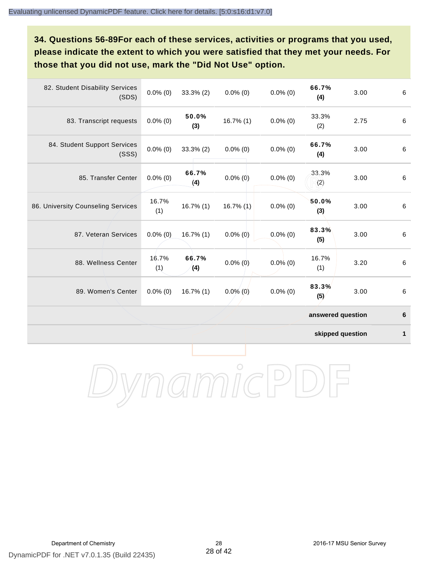# **34. Questions 56-89For each of these services, activities or programs that you used, please indicate the extent to which you were satisfied that they met your needs. For those that you did not use, mark the "Did Not Use" option.**

| 82. Student Disability Services<br>(SDS) | $0.0\%$ (0)  | $33.3\%$ (2) | $0.0\%$ (0)  | $0.0\%$ (0) | 66.7%<br>(4)      | 3.00 | $\,6\,$ |
|------------------------------------------|--------------|--------------|--------------|-------------|-------------------|------|---------|
| 83. Transcript requests                  | $0.0\%$ (0)  | 50.0%<br>(3) | $16.7\%$ (1) | $0.0\%$ (0) | 33.3%<br>(2)      | 2.75 | 6       |
| 84. Student Support Services<br>(SSS)    | $0.0\%$ (0)  | $33.3\%$ (2) | $0.0\%$ (0)  | $0.0\%$ (0) | 66.7%<br>(4)      | 3.00 | $\,6\,$ |
| 85. Transfer Center                      | $0.0\%$ (0)  | 66.7%<br>(4) | $0.0\%$ (0)  | $0.0\%$ (0) | 33.3%<br>(2)      | 3.00 | 6       |
| 86. University Counseling Services       | 16.7%<br>(1) | $16.7\%$ (1) | $16.7\%$ (1) | $0.0\%$ (0) | 50.0%<br>(3)      | 3.00 | 6       |
| 87. Veteran Services                     | $0.0\%$ (0)  | $16.7\%$ (1) | $0.0\%$ (0)  | $0.0\%$ (0) | 83.3%<br>(5)      | 3.00 | $\,6\,$ |
| 88. Wellness Center                      | 16.7%<br>(1) | 66.7%<br>(4) | $0.0\%$ (0)  | $0.0\%$ (0) | 16.7%<br>(1)      | 3.20 | 6       |
| 89. Women's Center                       | $0.0\%$ (0)  | $16.7\%$ (1) | $0.0\%$ (0)  | $0.0\%$ (0) | 83.3%<br>(5)      | 3.00 | $\,6\,$ |
|                                          |              |              |              |             | answered question |      | 6       |

**skipped question 1**

DynamicPDF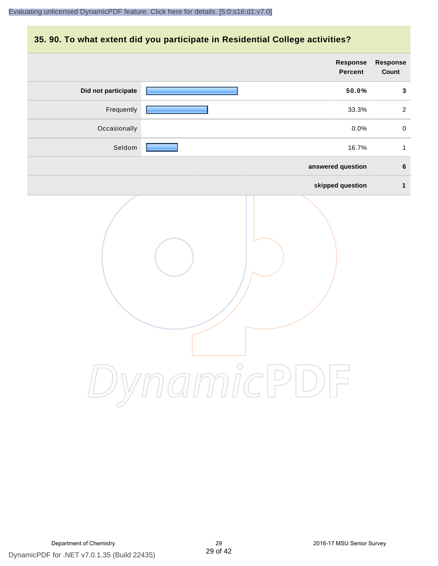#### **35. 90. To what extent did you participate in Residential College activities?**

|                     | Response<br>Percent | Response<br>Count |
|---------------------|---------------------|-------------------|
| Did not participate | 50.0%               | $\mathbf{3}$      |
| Frequently          | 33.3%               | $\overline{2}$    |
| Occasionally        | 0.0%                | $\pmb{0}$         |
| Seldom              | 16.7%               | $\mathbf{1}$      |
|                     | answered question   | $\bf 6$           |
|                     | skipped question    | $\mathbf{1}$      |
|                     | ynamicPD            |                   |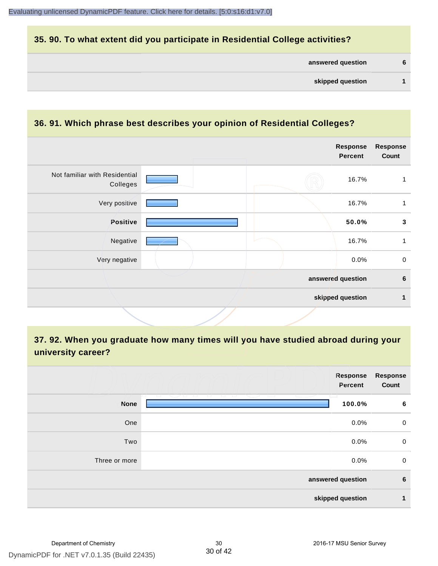#### **35. 90. To what extent did you participate in Residential College activities?**

#### **36. 91. Which phrase best describes your opinion of Residential Colleges?**

|                                           |  | <b>Response</b><br><b>Percent</b> | <b>Response</b><br>Count |
|-------------------------------------------|--|-----------------------------------|--------------------------|
| Not familiar with Residential<br>Colleges |  | 16.7%                             |                          |
| Very positive                             |  | 16.7%                             | 1                        |
| Positive                                  |  | 50.0%                             | $\mathbf{3}$             |
| Negative                                  |  | 16.7%                             | 1                        |
| Very negative                             |  | 0.0%                              | $\mathbf 0$              |
|                                           |  | answered question                 | $\bf 6$                  |
|                                           |  | skipped question                  | 1                        |

# **37. 92. When you graduate how many times will you have studied abroad during your university career?**

|               | Response<br>Percent                                                                        | Response<br>Count |
|---------------|--------------------------------------------------------------------------------------------|-------------------|
| <b>None</b>   | <u>tan Sabatan Ing Pa</u><br>ㅎ<br>and the state of<br><del>- - - - - - - -</del><br>100.0% | 6                 |
| One           | 0.0%                                                                                       | 0                 |
| Two           | 0.0%                                                                                       | 0                 |
| Three or more | 0.0%                                                                                       | $\mathbf 0$       |
|               | answered question                                                                          | $6\phantom{1}6$   |
|               | skipped question                                                                           | 1                 |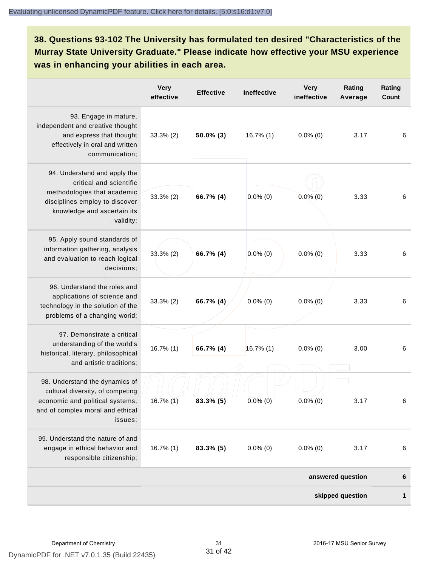**38. Questions 93-102 The University has formulated ten desired "Characteristics of the Murray State University Graduate." Please indicate how effective your MSU experience was in enhancing your abilities in each area.**

|                                                                                                                                                                      | <b>Very</b><br>effective | <b>Effective</b> | Ineffective  | <b>Very</b><br>ineffective | Rating<br>Average | Rating<br>Count |
|----------------------------------------------------------------------------------------------------------------------------------------------------------------------|--------------------------|------------------|--------------|----------------------------|-------------------|-----------------|
| 93. Engage in mature,<br>independent and creative thought<br>and express that thought<br>effectively in oral and written<br>communication;                           | $33.3\%$ (2)             | $50.0\%$ (3)     | 16.7% (1)    | $0.0\%$ (0)                | 3.17              | 6               |
| 94. Understand and apply the<br>critical and scientific<br>methodologies that academic<br>disciplines employ to discover<br>knowledge and ascertain its<br>validity; | $33.3\%$ (2)             | 66.7% (4)        | $0.0\%$ (0)  | $0.0\%$ (0)                | 3.33              | 6               |
| 95. Apply sound standards of<br>information gathering, analysis<br>and evaluation to reach logical<br>decisions;                                                     | $33.3\%$ (2)             | 66.7% (4)        | $0.0\%$ (0)  | $0.0\%$ (0)                | 3.33              | 6               |
| 96. Understand the roles and<br>applications of science and<br>technology in the solution of the<br>problems of a changing world;                                    | $33.3\%$ (2)             | 66.7% (4)        | $0.0\%$ (0)  | $0.0\%$ (0)                | 3.33              | 6               |
| 97. Demonstrate a critical<br>understanding of the world's<br>historical, literary, philosophical<br>and artistic traditions;                                        | $16.7\%$ (1)             | 66.7% (4)        | $16.7\%$ (1) | $0.0\%$ (0)                | 3.00              | 6               |
| 98. Understand the dynamics of<br>cultural diversity, of competing<br>economic and political systems,<br>and of complex moral and ethical<br>issues:                 | 16.7% (1)                | $83.3\%$ (5)     | $0.0\%$ (0)  | $0.0\%$ (0)                | 3.17              | 6               |
| 99. Understand the nature of and<br>engage in ethical behavior and<br>responsible citizenship;                                                                       | $16.7\%$ (1)             | $83.3\%$ (5)     | $0.0\%$ (0)  | $0.0\%$ (0)                | 3.17              | 6               |
|                                                                                                                                                                      |                          |                  |              |                            | answered question | 6               |
|                                                                                                                                                                      |                          |                  |              |                            | skipped question  | 1               |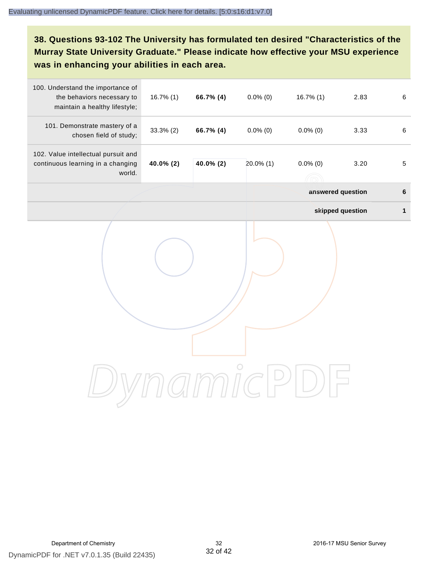# **38. Questions 93-102 The University has formulated ten desired "Characteristics of the Murray State University Graduate." Please indicate how effective your MSU experience was in enhancing your abilities in each area.**

| 100. Understand the importance of<br>the behaviors necessary to<br>maintain a healthy lifestyle; | $16.7\%$ (1) | 66.7% (4) | $0.0\%$ (0)  | $16.7\%$ (1)      | 2.83             | $\,6\,$      |
|--------------------------------------------------------------------------------------------------|--------------|-----------|--------------|-------------------|------------------|--------------|
| 101. Demonstrate mastery of a<br>chosen field of study;                                          | $33.3\%$ (2) | 66.7% (4) | $0.0\%$ (0)  | $0.0\%$ (0)       | 3.33             | 6            |
| 102. Value intellectual pursuit and<br>continuous learning in a changing<br>world.               | 40.0% (2)    | 40.0% (2) | $20.0\%$ (1) | $0.0\%$ (0)       | 3.20             | $\sqrt{5}$   |
|                                                                                                  |              |           |              | answered question |                  | $\bf 6$      |
|                                                                                                  |              |           |              |                   | skipped question | $\mathbf{1}$ |
|                                                                                                  |              |           |              |                   |                  |              |
|                                                                                                  |              |           |              |                   |                  |              |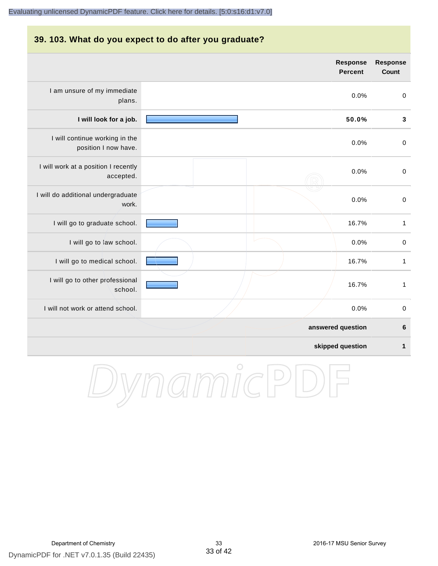#### **39. 103. What do you expect to do after you graduate?**

|                                                        | <b>Response</b><br><b>Percent</b> | <b>Response</b><br>Count |
|--------------------------------------------------------|-----------------------------------|--------------------------|
| I am unsure of my immediate<br>plans.                  | 0.0%                              | $\boldsymbol{0}$         |
| I will look for a job.                                 | 50.0%                             | $\mathbf{3}$             |
| I will continue working in the<br>position I now have. | 0.0%                              | $\pmb{0}$                |
| I will work at a position I recently<br>accepted.      | 0.0%                              | $\boldsymbol{0}$         |
| I will do additional undergraduate<br>work.            | 0.0%                              | $\pmb{0}$                |
| I will go to graduate school.                          | 16.7%                             | $\mathbf{1}$             |
| I will go to law school.                               | 0.0%                              | $\pmb{0}$                |
| I will go to medical school.                           | 16.7%                             | $\mathbf{1}$             |
| I will go to other professional<br>school.             | 16.7%                             | $\mathbf{1}$             |
| I will not work or attend school.                      | 0.0%                              | $\boldsymbol{0}$         |
|                                                        | answered question                 | $6\phantom{1}6$          |
|                                                        | skipped question                  | 1                        |

DynamicPDF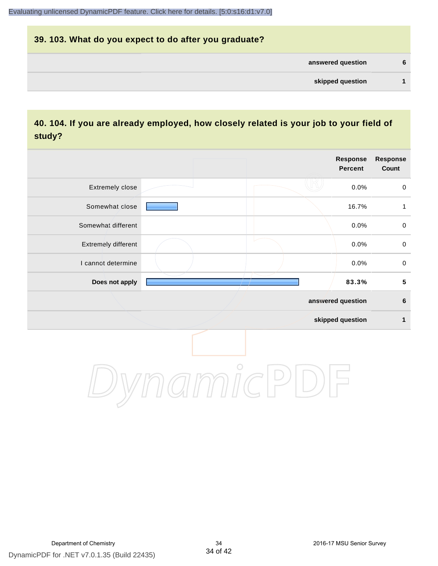# **39. 103. What do you expect to do after you graduate? answered question 6 skipped question 1**

## **40. 104. If you are already employed, how closely related is your job to your field of study?**

|                     |       | <b>Response</b><br><b>Percent</b> | <b>Response</b><br>Count |
|---------------------|-------|-----------------------------------|--------------------------|
| Extremely close     |       | 0.0%                              | $\mathsf{O}$             |
| Somewhat close      |       | 16.7%                             | $\mathbf{1}$             |
| Somewhat different  |       | 0.0%                              | $\pmb{0}$                |
| Extremely different |       | 0.0%                              | $\mathbf 0$              |
| I cannot determine  |       | 0.0%                              | $\mathbf 0$              |
| Does not apply      |       | 83.3%                             | ${\bf 5}$                |
|                     |       | answered question                 | $\bf 6$                  |
|                     |       | skipped question                  | 1                        |
|                     | 77111 |                                   |                          |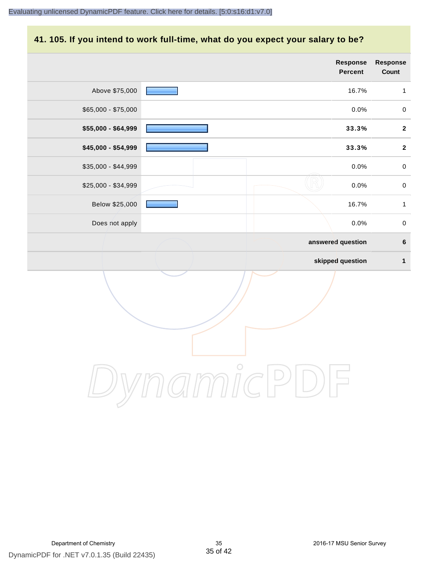#### **41. 105. If you intend to work full-time, what do you expect your salary to be?**

|                     |            | Response<br>Percent | Response<br>Count |
|---------------------|------------|---------------------|-------------------|
| Above \$75,000      |            | 16.7%               | $\mathbf{1}$      |
| $$65,000 - $75,000$ |            | 0.0%                | $\pmb{0}$         |
| \$55,000 - \$64,999 |            | 33.3%               | $\mathbf{2}$      |
| \$45,000 - \$54,999 |            | 33.3%               | $\mathbf{2}$      |
| \$35,000 - \$44,999 |            | $0.0\%$             | $\mathbf 0$       |
| \$25,000 - \$34,999 |            | 0.0%                | $\pmb{0}$         |
| Below \$25,000      |            | 16.7%               | $\mathbf{1}$      |
| Does not apply      |            | 0.0%                | $\pmb{0}$         |
|                     |            | answered question   | $\bf 6$           |
|                     |            | skipped question    | $\mathbf{1}$      |
|                     |            |                     |                   |
|                     | $\bigcirc$ |                     |                   |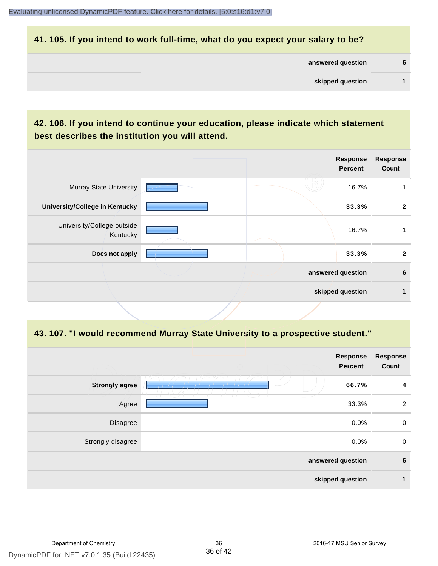#### **41. 105. If you intend to work full-time, what do you expect your salary to be?**

| answered question | 6 |
|-------------------|---|
|                   |   |

# **42. 106. If you intend to continue your education, please indicate which statement best describes the institution you will attend.**

|  | <b>Response</b><br><b>Percent</b> | <b>Response</b><br>Count              |
|--|-----------------------------------|---------------------------------------|
|  | 16.7%                             |                                       |
|  | 33.3%                             | $\mathbf{2}$                          |
|  | 16.7%                             |                                       |
|  | 33.3%                             | $\mathbf{2}$                          |
|  |                                   | 6                                     |
|  |                                   |                                       |
|  |                                   | answered question<br>skipped question |

#### **43. 107. "I would recommend Murray State University to a prospective student."**

|                       | Response<br>Percent                                | <b>Response</b><br>Count |
|-----------------------|----------------------------------------------------|--------------------------|
| <b>Strongly agree</b> | 66.7%                                              | 4                        |
| Agree                 | T<br>ㅠ<br>T<br>77<br><del>u u</del><br>77<br>33.3% | $\overline{2}$           |
| Disagree              | 0.0%                                               | $\mathbf 0$              |
| Strongly disagree     | 0.0%                                               | $\mathbf 0$              |
| answered question     |                                                    | $6\phantom{1}6$          |
|                       | skipped question                                   | 1                        |
|                       |                                                    |                          |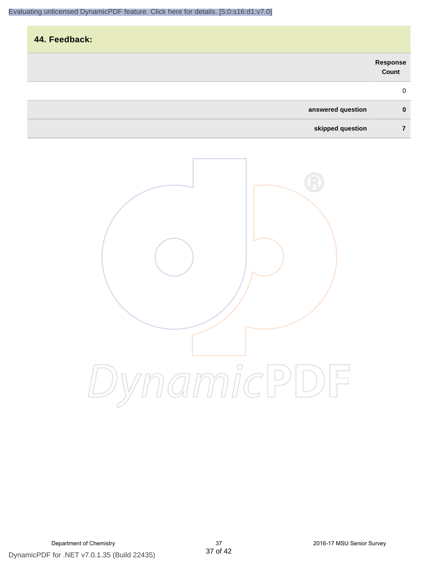| 44. Feedback:     |                   |
|-------------------|-------------------|
|                   | Response<br>Count |
|                   | $\mathbf 0$       |
| answered question | $\mathbf 0$       |
| skipped question  | 7                 |

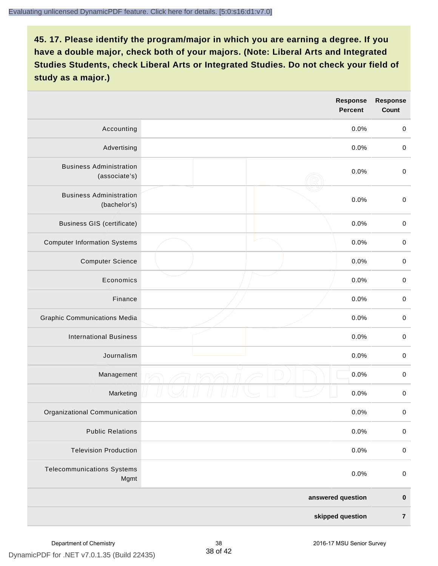|                                                 |                   | <b>Response</b><br><b>Percent</b> | <b>Response</b><br><b>Count</b> |
|-------------------------------------------------|-------------------|-----------------------------------|---------------------------------|
| Accounting                                      |                   | 0.0%                              | $\mathbf 0$                     |
| Advertising                                     |                   | 0.0%                              | $\pmb{0}$                       |
| <b>Business Administration</b><br>(associate's) |                   | 0.0%                              | $\pmb{0}$                       |
| <b>Business Administration</b><br>(bachelor's)  |                   | 0.0%                              | $\,0\,$                         |
| <b>Business GIS (certificate)</b>               |                   | 0.0%                              | $\mathbf 0$                     |
| <b>Computer Information Systems</b>             |                   | 0.0%                              | $\,0\,$                         |
| <b>Computer Science</b>                         |                   | 0.0%                              | $\mathbf 0$                     |
| Economics                                       |                   | 0.0%                              | $\pmb{0}$                       |
| Finance                                         |                   | 0.0%                              | $\pmb{0}$                       |
| <b>Graphic Communications Media</b>             |                   | 0.0%                              | $\mathbf 0$                     |
| <b>International Business</b>                   |                   | 0.0%                              | $\pmb{0}$                       |
| Journalism                                      |                   | 0.0%                              | $\mathbf 0$                     |
| Management                                      |                   | 0.0%                              | $\pmb{0}$                       |
| Marketing                                       |                   | 0.0%                              | $\,0\,$                         |
| Organizational Communication                    |                   | 0.0%                              | $\pmb{0}$                       |
| <b>Public Relations</b>                         |                   | 0.0%                              | $\mathbf 0$                     |
| <b>Television Production</b>                    |                   | 0.0%                              | $\mathsf 0$                     |
| <b>Telecommunications Systems</b><br>Mgmt       |                   | 0.0%                              | $\mathbf 0$                     |
|                                                 | answered question |                                   | $\pmb{0}$                       |
| skipped question                                |                   |                                   | $\overline{7}$                  |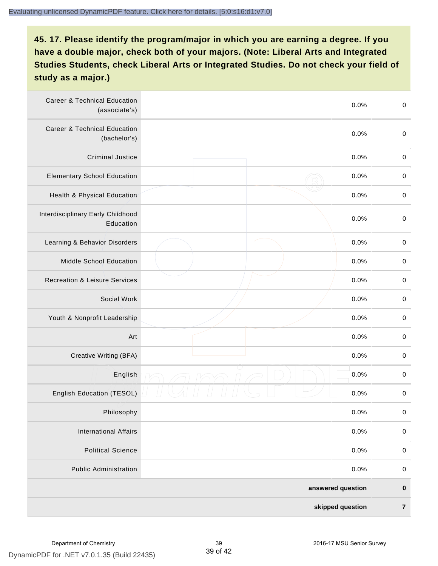| <b>Career &amp; Technical Education</b><br>(associate's) |                  | 0.0% | $\pmb{0}$   |
|----------------------------------------------------------|------------------|------|-------------|
| <b>Career &amp; Technical Education</b><br>(bachelor's)  |                  | 0.0% | $\mathbf 0$ |
| <b>Criminal Justice</b>                                  |                  | 0.0% | $\pmb{0}$   |
| <b>Elementary School Education</b>                       |                  | 0.0% | $\pmb{0}$   |
| Health & Physical Education                              |                  | 0.0% | $\pmb{0}$   |
| Interdisciplinary Early Childhood<br>Education           |                  | 0.0% | $\pmb{0}$   |
| Learning & Behavior Disorders                            |                  | 0.0% | $\pmb{0}$   |
| Middle School Education                                  |                  | 0.0% | $\mathbf 0$ |
| <b>Recreation &amp; Leisure Services</b>                 |                  | 0.0% | $\mathbf 0$ |
| Social Work                                              |                  | 0.0% | $\mathbf 0$ |
| Youth & Nonprofit Leadership                             |                  | 0.0% | $\mathbf 0$ |
| Art                                                      |                  | 0.0% | $\pmb{0}$   |
| Creative Writing (BFA)                                   |                  | 0.0% | $\pmb{0}$   |
| English                                                  |                  | 0.0% | $\pmb{0}$   |
| English Education (TESOL)                                |                  | 0.0% | $\pmb{0}$   |
| Philosophy                                               |                  | 0.0% | 0           |
| <b>International Affairs</b>                             |                  | 0.0% | $\pmb{0}$   |
| <b>Political Science</b>                                 |                  | 0.0% | $\mathbf 0$ |
| <b>Public Administration</b>                             |                  | 0.0% | $\mathbf 0$ |
| answered question                                        |                  |      | $\pmb{0}$   |
|                                                          | skipped question |      |             |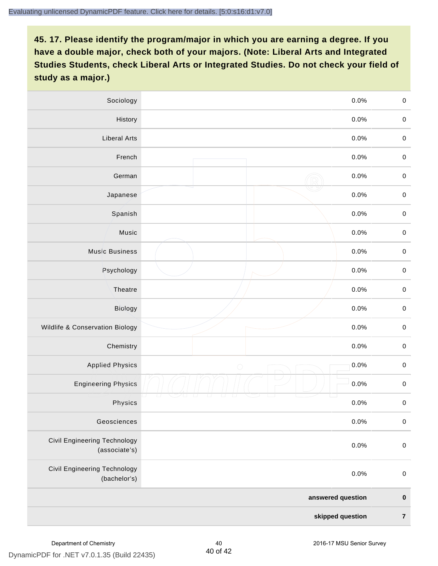| Sociology                                     |            | 0.0%      | $\mathbf 0$ |
|-----------------------------------------------|------------|-----------|-------------|
| History                                       |            | $0.0\%$   | $\mathbf 0$ |
| <b>Liberal Arts</b>                           |            | 0.0%      | $\mathbf 0$ |
| French                                        |            | 0.0%      | $\pmb{0}$   |
| German                                        |            | 0.0%      | $\mathbf 0$ |
| Japanese                                      |            | 0.0%      | $\mathbf 0$ |
| Spanish                                       |            | 0.0%      | $\mathbf 0$ |
| Music                                         |            | 0.0%      | $\mathbf 0$ |
| <b>Music Business</b>                         |            | 0.0%      | $\pmb{0}$   |
| Psychology                                    |            | 0.0%      | $\mathbf 0$ |
| Theatre                                       |            | 0.0%      | $\mathbf 0$ |
| Biology                                       |            | 0.0%      | $\mathbf 0$ |
| Wildlife & Conservation Biology               |            | 0.0%      | $\mathbf 0$ |
| Chemistry                                     |            | 0.0%      | $\pmb{0}$   |
| <b>Applied Physics</b>                        | $\bigcirc$ | 0.0%      | $\mathbf 0$ |
| <b>Engineering Physics</b>                    |            | 0.0%      | $\mathbf 0$ |
| Physics                                       |            | 0.0%      | $\mathbf 0$ |
| Geosciences                                   |            | 0.0%      | $\mathbf 0$ |
| Civil Engineering Technology<br>(associate's) |            | 0.0%      | $\pmb{0}$   |
| Civil Engineering Technology<br>(bachelor's)  |            | 0.0%      | $\pmb{0}$   |
| answered question                             |            | $\pmb{0}$ |             |
| skipped question                              |            | $\bf 7$   |             |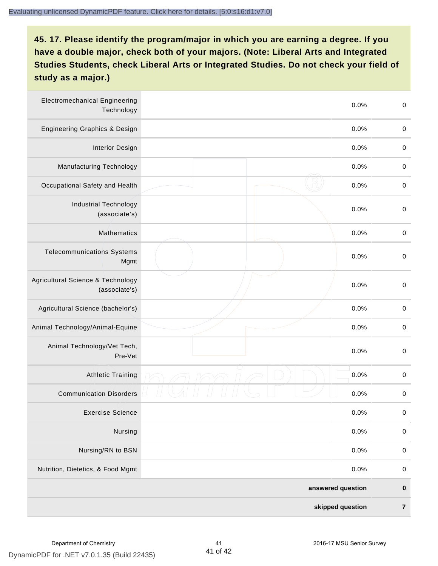| <b>Electromechanical Engineering</b><br>Technology |                  | 0.0% | $\mathbf 0$ |
|----------------------------------------------------|------------------|------|-------------|
| <b>Engineering Graphics &amp; Design</b>           |                  | 0.0% | $\mathbf 0$ |
| <b>Interior Design</b>                             |                  | 0.0% | $\pmb{0}$   |
| <b>Manufacturing Technology</b>                    |                  | 0.0% | 0           |
| Occupational Safety and Health                     |                  | 0.0% | $\pmb{0}$   |
| <b>Industrial Technology</b><br>(associate's)      |                  | 0.0% | $\pmb{0}$   |
| <b>Mathematics</b>                                 |                  | 0.0% | $\pmb{0}$   |
| <b>Telecommunications Systems</b><br>Mgmt          |                  | 0.0% | $\pmb{0}$   |
| Agricultural Science & Technology<br>(associate's) |                  | 0.0% | $\mathbf 0$ |
| Agricultural Science (bachelor's)                  |                  | 0.0% | $\mathbf 0$ |
| Animal Technology/Animal-Equine                    |                  | 0.0% | $\pmb{0}$   |
| Animal Technology/Vet Tech,<br>Pre-Vet             |                  | 0.0% | $\pmb{0}$   |
| Athletic Training                                  |                  | 0.0% | $\pmb{0}$   |
| <b>Communication Disorders</b>                     |                  | 0.0% | 0           |
| <b>Exercise Science</b>                            |                  | 0.0% | $\pmb{0}$   |
| Nursing                                            |                  | 0.0% | $\pmb{0}$   |
| Nursing/RN to BSN                                  |                  | 0.0% | $\pmb{0}$   |
| Nutrition, Dietetics, & Food Mgmt                  |                  | 0.0% | $\mathbf 0$ |
| answered question                                  |                  |      | $\pmb{0}$   |
|                                                    | skipped question |      | $\bf 7$     |